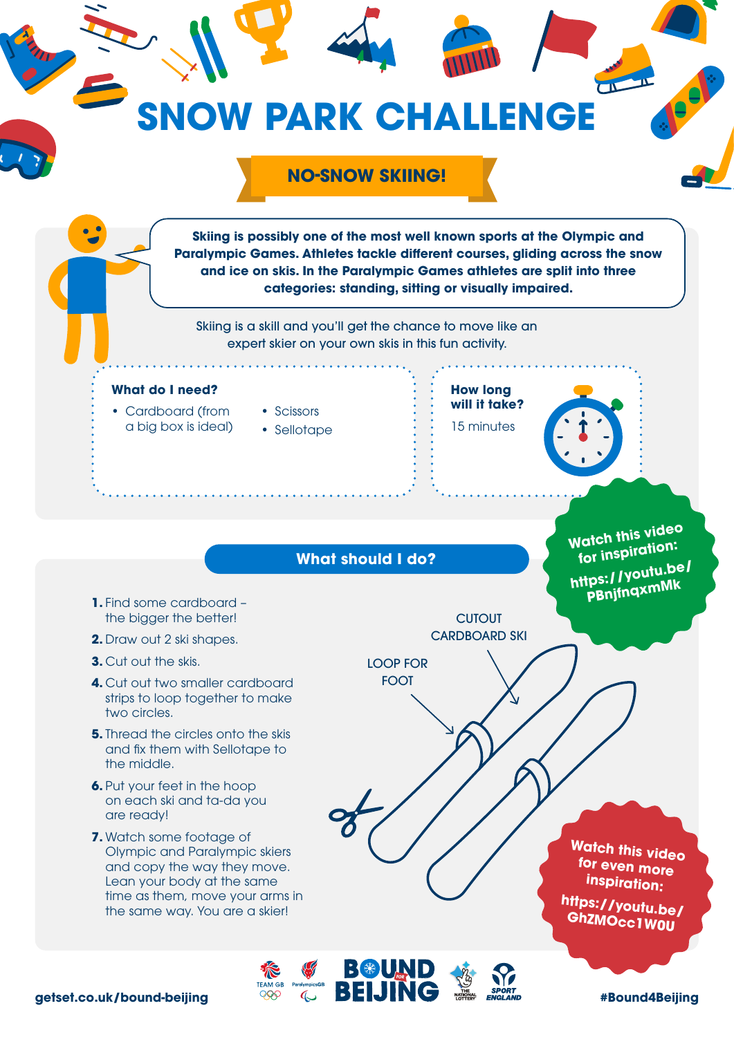